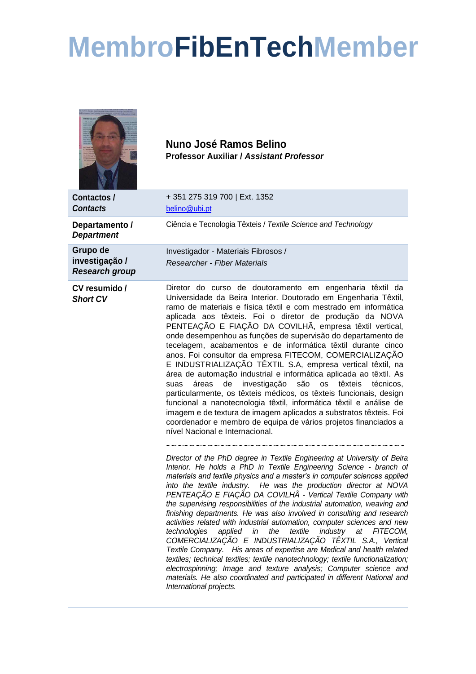## **MembroFibEnTechMember**

|                                                     | Nuno José Ramos Belino<br><b>Professor Auxiliar / Assistant Professor</b>                                                                                                                                                                                                                                                                                                                                                                                                                                                                                                                                                                                                                                                                                                                                                                                                                                                                                                                                                                                                                   |
|-----------------------------------------------------|---------------------------------------------------------------------------------------------------------------------------------------------------------------------------------------------------------------------------------------------------------------------------------------------------------------------------------------------------------------------------------------------------------------------------------------------------------------------------------------------------------------------------------------------------------------------------------------------------------------------------------------------------------------------------------------------------------------------------------------------------------------------------------------------------------------------------------------------------------------------------------------------------------------------------------------------------------------------------------------------------------------------------------------------------------------------------------------------|
| Contactos /<br><b>Contacts</b>                      | +351 275 319 700   Ext. 1352<br>belino@ubi.pt                                                                                                                                                                                                                                                                                                                                                                                                                                                                                                                                                                                                                                                                                                                                                                                                                                                                                                                                                                                                                                               |
| Departamento /<br><b>Department</b>                 | Ciência e Tecnologia Têxteis / Textile Science and Technology                                                                                                                                                                                                                                                                                                                                                                                                                                                                                                                                                                                                                                                                                                                                                                                                                                                                                                                                                                                                                               |
| Grupo de<br>investigação /<br><b>Research group</b> | Investigador - Materiais Fibrosos /<br><b>Researcher - Fiber Materials</b>                                                                                                                                                                                                                                                                                                                                                                                                                                                                                                                                                                                                                                                                                                                                                                                                                                                                                                                                                                                                                  |
| CV resumido /<br><b>Short CV</b>                    | Diretor do curso de doutoramento em engenharia têxtil da<br>Universidade da Beira Interior. Doutorado em Engenharia Têxtil,<br>ramo de materiais e física têxtil e com mestrado em informática<br>aplicada aos têxteis. Foi o diretor de produção da NOVA<br>PENTEAÇÃO E FIAÇÃO DA COVILHÃ, empresa têxtil vertical,<br>onde desempenhou as funções de supervisão do departamento de<br>tecelagem, acabamentos e de informática têxtil durante cinco<br>anos. Foi consultor da empresa FITECOM, COMERCIALIZAÇÃO<br>E INDUSTRIALIZAÇÃO TÊXTIL S.A, empresa vertical têxtil, na<br>área de automação industrial e informática aplicada ao têxtil. As<br>investigação são<br>áreas<br>de<br><b>OS</b><br>têxteis<br>suas<br>técnicos.<br>particularmente, os têxteis médicos, os têxteis funcionais, design<br>funcional a nanotecnologia têxtil, informática têxtil e análise de<br>imagem e de textura de imagem aplicados a substratos têxteis. Foi<br>coordenador e membro de equipa de vários projetos financiados a<br>nível Nacional e Internacional.                                   |
|                                                     | Director of the PhD degree in Textile Engineering at University of Beira<br>Interior. He holds a PhD in Textile Engineering Science - branch of<br>materials and textile physics and a master's in computer sciences applied<br>into the textile industry. He was the production director at NOVA<br>PENTEAÇÃO E FIAÇÃO DA COVILHÃ - Vertical Textile Company with<br>the supervising responsibilities of the industrial automation, weaving and<br>finishing departments. He was also involved in consulting and research<br>activities related with industrial automation, computer sciences and new<br>textile<br>industry at<br>technologies<br>applied<br>in<br>the<br>FITECOM,<br>COMERCIALIZAÇÃO E INDUSTRIALIZAÇÃO TÊXTIL S.A., Vertical<br>Textile Company. His areas of expertise are Medical and health related<br>textiles; technical textiles; textile nanotechnology; textile functionalization;<br>electrospinning; Image and texture analysis; Computer science and<br>materials. He also coordinated and participated in different National and<br>International projects. |